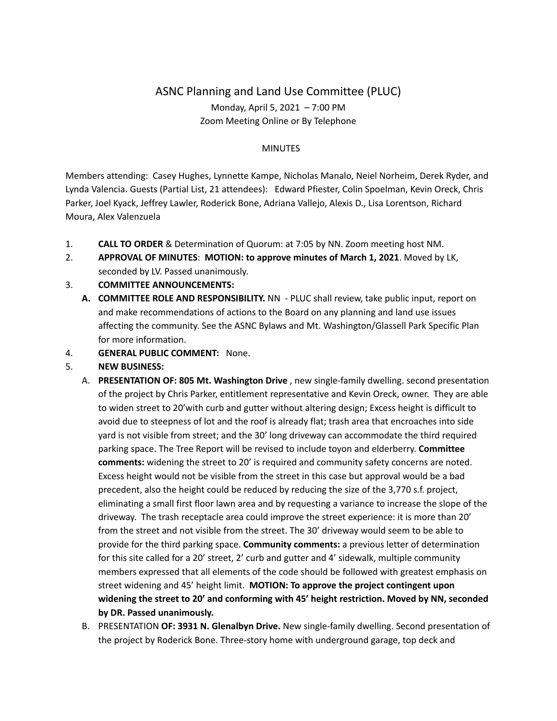# ASNC Planning and Land Use Committee (PLUC) Monday, April 5, 2021 – 7:00 PM Zoom Meeting Online or By Telephone

#### MINUTES

Members attending: Casey Hughes, Lynnette Kampe, Nicholas Manalo, Neiel Norheim, Derek Ryder, and Lynda Valencia. Guests (Partial List, 21 attendees): Edward Pfiester, Colin Spoelman, Kevin Oreck, Chris Parker, Joel Kyack, Jeffrey Lawler, Roderick Bone, Adriana Vallejo, Alexis D., Lisa Lorentson, Richard Moura, Alex Valenzuela

- 1. **CALL TO ORDER** & Determination of Quorum: at 7:05 by NN. Zoom meeting host NM.
- 2. **APPROVAL OF MINUTES**: **MOTION: to approve minutes of March 1, 2021**. Moved by LK, seconded by LV. Passed unanimously.

## 3. **COMMITTEE ANNOUNCEMENTS:**

- **A. COMMITTEE ROLE AND RESPONSIBILITY.** NN PLUC shall review, take public input, report on and make recommendations of actions to the Board on any planning and land use issues affecting the community. See the ASNC Bylaws and Mt. Washington/Glassell Park Specific Plan for more information.
- 4. **GENERAL PUBLIC COMMENT:** None.

## 5. **NEW BUSINESS:**

- A. **PRESENTATION OF: 805 Mt. Washington Drive** , new single-family dwelling. second presentation of the project by Chris Parker, entitlement representative and Kevin Oreck, owner. They are able to widen street to 20'with curb and gutter without altering design; Excess height is difficult to avoid due to steepness of lot and the roof is already flat; trash area that encroaches into side yard is not visible from street; and the 30' long driveway can accommodate the third required parking space. The Tree Report will be revised to include toyon and elderberry. **Committee comments:** widening the street to 20' is required and community safety concerns are noted. Excess height would not be visible from the street in this case but approval would be a bad precedent, also the height could be reduced by reducing the size of the 3,770 s.f. project, eliminating a small first floor lawn area and by requesting a variance to increase the slope of the driveway. The trash receptacle area could improve the street experience: it is more than 20' from the street and not visible from the street. The 30' driveway would seem to be able to provide for the third parking space. **Community comments:** a previous letter of determination for this site called for a 20' street, 2' curb and gutter and 4' sidewalk, multiple community members expressed that all elements of the code should be followed with greatest emphasis on street widening and 45' height limit. **MOTION: To approve the project contingent upon widening the street to 20' and conforming with 45' height restriction. Moved by NN, seconded by DR. Passed unanimously.**
- B. PRESENTATION **OF: 3931 N. Glenalbyn Drive.** New single-family dwelling. Second presentation of the project by Roderick Bone. Three-story home with underground garage, top deck and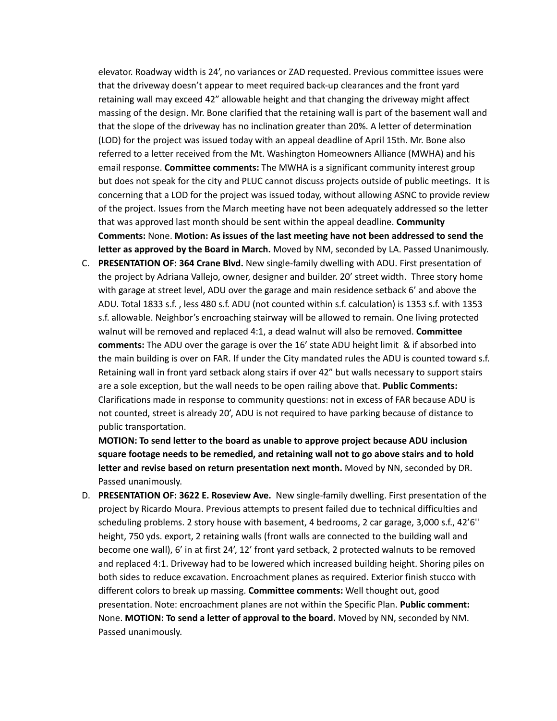elevator. Roadway width is 24', no variances or ZAD requested. Previous committee issues were that the driveway doesn't appear to meet required back-up clearances and the front yard retaining wall may exceed 42" allowable height and that changing the driveway might affect massing of the design. Mr. Bone clarified that the retaining wall is part of the basement wall and that the slope of the driveway has no inclination greater than 20%. A letter of determination (LOD) for the project was issued today with an appeal deadline of April 15th. Mr. Bone also referred to a letter received from the Mt. Washington Homeowners Alliance (MWHA) and his email response. **Committee comments:** The MWHA is a significant community interest group but does not speak for the city and PLUC cannot discuss projects outside of public meetings. It is concerning that a LOD for the project was issued today, without allowing ASNC to provide review of the project. Issues from the March meeting have not been adequately addressed so the letter that was approved last month should be sent within the appeal deadline. **Community Comments:** None. **Motion: As issues of the last meeting have not been addressed to send the letter as approved by the Board in March.** Moved by NM, seconded by LA. Passed Unanimously.

C. **PRESENTATION OF: 364 Crane Blvd.** New single-family dwelling with ADU. First presentation of the project by Adriana Vallejo, owner, designer and builder. 20' street width. Three story home with garage at street level, ADU over the garage and main residence setback 6' and above the ADU. Total 1833 s.f. , less 480 s.f. ADU (not counted within s.f. calculation) is 1353 s.f. with 1353 s.f. allowable. Neighbor's encroaching stairway will be allowed to remain. One living protected walnut will be removed and replaced 4:1, a dead walnut will also be removed. **Committee comments:** The ADU over the garage is over the 16' state ADU height limit & if absorbed into the main building is over on FAR. If under the City mandated rules the ADU is counted toward s.f. Retaining wall in front yard setback along stairs if over 42" but walls necessary to support stairs are a sole exception, but the wall needs to be open railing above that. **Public Comments:** Clarifications made in response to community questions: not in excess of FAR because ADU is not counted, street is already 20', ADU is not required to have parking because of distance to public transportation.

**MOTION: To send letter to the board as unable to approve project because ADU inclusion square footage needs to be remedied, and retaining wall not to go above stairs and to hold letter and revise based on return presentation next month.** Moved by NN, seconded by DR. Passed unanimously.

D. **PRESENTATION OF: 3622 E. Roseview Ave.** New single-family dwelling. First presentation of the project by Ricardo Moura. Previous attempts to present failed due to technical difficulties and scheduling problems. 2 story house with basement, 4 bedrooms, 2 car garage, 3,000 s.f., 42'6'' height, 750 yds. export, 2 retaining walls (front walls are connected to the building wall and become one wall), 6' in at first 24', 12' front yard setback, 2 protected walnuts to be removed and replaced 4:1. Driveway had to be lowered which increased building height. Shoring piles on both sides to reduce excavation. Encroachment planes as required. Exterior finish stucco with different colors to break up massing. **Committee comments:** Well thought out, good presentation. Note: encroachment planes are not within the Specific Plan. **Public comment:** None. **MOTION: To send a letter of approval to the board.** Moved by NN, seconded by NM. Passed unanimously.